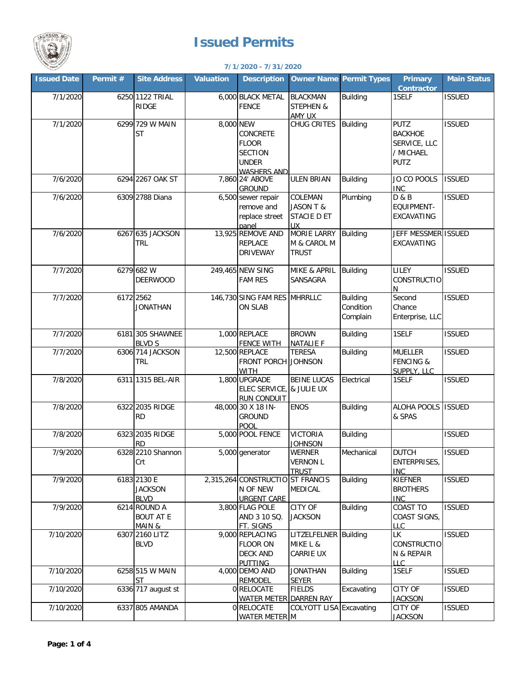

## **Issued Permits**

## **7/1/2020 - 7/31/2020**

| <b>Issued Date</b> | Permit # | <b>Site Address</b>                          | <b>Valuation</b> | <b>Description</b>                                                                      | <b>Owner Name Permit Types</b>                    |                                          | <b>Primary</b><br><b>Contractor</b>                                       | <b>Main Status</b> |
|--------------------|----------|----------------------------------------------|------------------|-----------------------------------------------------------------------------------------|---------------------------------------------------|------------------------------------------|---------------------------------------------------------------------------|--------------------|
| 7/1/2020           |          | 6250 1122 TRIAL<br><b>RIDGE</b>              |                  | 6,000 BLACK METAL<br><b>FENCE</b>                                                       | <b>BLACKMAN</b><br><b>STEPHEN &amp;</b><br>AMY UX | <b>Building</b>                          | 1SELF                                                                     | <b>ISSUED</b>      |
| 7/1/2020           |          | 6299 729 W MAIN<br><b>ST</b>                 | 8,000 NEW        | <b>CONCRETE</b><br><b>FLOOR</b><br><b>SECTION</b><br><b>UNDER</b><br><b>WASHERS AND</b> | CHUG CRITES                                       | <b>Building</b>                          | <b>PUTZ</b><br><b>BACKHOE</b><br>SERVICE, LLC<br>/ MICHAEL<br><b>PUTZ</b> | <b>ISSUED</b>      |
| 7/6/2020           |          | 6294 2267 OAK ST                             |                  | 7,860 24' ABOVE<br><b>GROUND</b>                                                        | <b>ULEN BRIAN</b>                                 | <b>Building</b>                          | JO CO POOLS<br><b>INC</b>                                                 | <b>ISSUED</b>      |
| 7/6/2020           |          | 6309 2788 Diana                              |                  | 6,500 sewer repair<br>remove and<br>replace street<br>panel                             | COLEMAN<br>JASON T &<br>STACIE D ET<br><b>UX</b>  | Plumbing                                 | <b>D &amp; B</b><br>EQUIPMENT-<br>EXCAVATING                              | <b>ISSUED</b>      |
| 7/6/2020           |          | 6267 635 JACKSON<br><b>TRL</b>               |                  | 13,925 REMOVE AND<br><b>REPLACE</b><br><b>DRIVEWAY</b>                                  | <b>MORIE LARRY</b><br>M & CAROL M<br><b>TRUST</b> | <b>Building</b>                          | JEFF MESSMER ISSUED<br>EXCAVATING                                         |                    |
| 7/7/2020           |          | 6279 682 W<br><b>DEERWOOD</b>                |                  | 249,465 NEW SING<br><b>FAM RES</b>                                                      | MIKE & APRIL Building<br>SANSAGRA                 |                                          | <b>LILEY</b><br><b>CONSTRUCTIO</b><br>N                                   | <b>ISSUED</b>      |
| 7/7/2020           |          | 6172 2562<br><b>JONATHAN</b>                 |                  | 146,730 SING FAM RES MHRRLLC<br>ON SLAB                                                 |                                                   | <b>Building</b><br>Condition<br>Complain | Second<br>Chance<br>Enterprise, LLC                                       | <b>ISSUED</b>      |
| 7/7/2020           |          | 6181 305 SHAWNEE<br><b>BLVD S</b>            |                  | 1,000 REPLACE<br><b>FENCE WITH</b>                                                      | <b>BROWN</b><br><b>NATALIE F</b>                  | <b>Building</b>                          | 1SELF                                                                     | <b>ISSUED</b>      |
| 7/7/2020           |          | 6306 714 JACKSON<br><b>TRL</b>               |                  | 12,500 REPLACE<br>FRONT PORCH JOHNSON<br><b>WITH</b>                                    | <b>TERESA</b>                                     | <b>Building</b>                          | <b>MUELLER</b><br><b>FENCING &amp;</b><br>SUPPLY, LLC                     | <b>ISSUED</b>      |
| 7/8/2020           |          | 6311 1315 BEL-AIR                            |                  | 1,800 UPGRADE<br>ELEC SERVICE,<br><b>RUN CONDUIT</b>                                    | <b>BEINE LUCAS</b><br>& JULIE UX                  | Electrical                               | 1SELF                                                                     | <b>ISSUED</b>      |
| 7/8/2020           |          | 6322 2035 RIDGE<br><b>RD</b>                 |                  | 48,000 30 X 18 IN-<br><b>GROUND</b><br>POOL                                             | <b>ENOS</b>                                       | <b>Building</b>                          | ALOHA POOLS<br>& SPAS                                                     | <b>ISSUED</b>      |
| 7/8/2020           |          | 6323 2035 RIDGE<br><b>RD</b>                 |                  | 5,000 POOL FENCE                                                                        | <b>VICTORIA</b><br><b>JOHNSON</b>                 | <b>Building</b>                          |                                                                           | <b>ISSUED</b>      |
| 7/9/2020           |          | 6328 2210 Shannon<br>Crt                     |                  | 5,000 generator                                                                         | WERNER<br><b>VERNON L</b><br><b>TRUST</b>         | Mechanical                               | <b>DUTCH</b><br>ENTERPRISES,<br><b>INC</b>                                | <b>ISSUED</b>      |
| 7/9/2020           |          | 6183 2130 E<br><b>JACKSON</b><br><b>BLVD</b> |                  | 2,315,264 CONSTRUCTIO ST FRANCIS<br>N OF NEW<br><b>URGENT CARE</b>                      | MEDICAL                                           | <b>Building</b>                          | <b>KIEFNER</b><br><b>BROTHERS</b><br><b>INC</b>                           | <b>ISSUED</b>      |
| 7/9/2020           |          | 6214 ROUND A<br><b>BOUT AT E</b><br>MAIN &   |                  | 3,800 FLAG POLE<br>AND 3 10 SQ.<br>FT. SIGNS                                            | CITY OF<br><b>JACKSON</b>                         | <b>Building</b>                          | COAST TO<br><b>COAST SIGNS,</b><br><b>LLC</b>                             | <b>ISSUED</b>      |
| 7/10/2020          |          | 6307 2160 LITZ<br><b>BLVD</b>                |                  | 9,000 REPLACING<br><b>FLOOR ON</b><br><b>DECK AND</b><br><b>PUTTING</b>                 | LITZELFELNER Building<br>MIKE L &<br>CARRIE UX    |                                          | LК<br>CONSTRUCTIO<br>N & REPAIR<br><b>LLC</b>                             | <b>ISSUED</b>      |
| 7/10/2020          |          | 6258 515 W MAIN<br>ST                        |                  | 4,000 DEMO AND<br><b>REMODEL</b>                                                        | <b>JONATHAN</b><br><b>SEYER</b>                   | <b>Building</b>                          | 1SELF                                                                     | <b>ISSUED</b>      |
| 7/10/2020          |          | 6336 717 august st                           |                  | 0 RELOCATE<br><b>WATER METER DARREN RAY</b>                                             | <b>FIELDS</b>                                     | Excavating                               | CITY OF<br><b>JACKSON</b>                                                 | <b>ISSUED</b>      |
| 7/10/2020          |          | 6337 805 AMANDA                              |                  | 0 RELOCATE<br><b>WATER METER M</b>                                                      | COLYOTT LISA Excavating                           |                                          | CITY OF<br><b>JACKSON</b>                                                 | <b>ISSUED</b>      |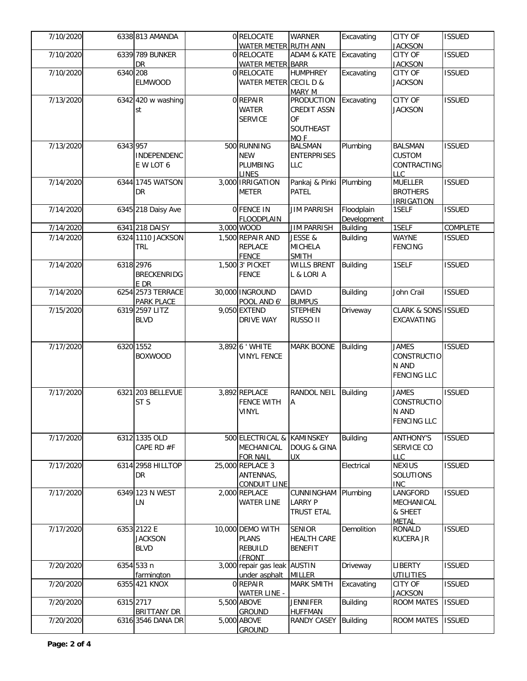| 7/10/2020 |          | 6338 813 AMANDA           | 0 RELOCATE                       | <b>WARNER</b>                      | Excavating                     | CITY OF                        | <b>ISSUED</b> |
|-----------|----------|---------------------------|----------------------------------|------------------------------------|--------------------------------|--------------------------------|---------------|
|           |          | 6339 789 BUNKER           | WATER METER RUTH ANN             | ADAM & KATE Excavating             |                                | <b>JACKSON</b><br>CITY OF      | <b>ISSUED</b> |
| 7/10/2020 |          | DR                        | 0 RELOCATE                       |                                    |                                |                                |               |
|           |          |                           | <b>WATER METER BARR</b>          | <b>HUMPHREY</b>                    |                                | <b>JACKSON</b><br>CITY OF      | <b>ISSUED</b> |
| 7/10/2020 | 6340 208 |                           | 0 RELOCATE                       |                                    | Excavating                     |                                |               |
|           |          | <b>ELMWOOD</b>            | WATER METER CECIL D &            |                                    |                                | <b>JACKSON</b>                 |               |
| 7/13/2020 |          |                           | 0 REPAIR                         | <b>MARY M</b><br><b>PRODUCTION</b> |                                | CITY OF                        | <b>ISSUED</b> |
|           |          | 6342 420 w washing        |                                  |                                    | Excavating                     |                                |               |
|           |          | st                        | <b>WATER</b>                     | <b>CREDIT ASSN</b>                 |                                | <b>JACKSON</b>                 |               |
|           |          |                           | <b>SERVICE</b>                   | <b>OF</b>                          |                                |                                |               |
|           |          |                           |                                  | SOUTHEAST                          |                                |                                |               |
|           |          |                           |                                  | MO <sub>F</sub>                    |                                |                                |               |
| 7/13/2020 | 6343 957 |                           | 500 RUNNING                      | <b>BALSMAN</b>                     | Plumbing                       | <b>BALSMAN</b>                 | <b>ISSUED</b> |
|           |          | <b>INDEPENDENC</b>        | <b>NEW</b>                       | <b>ENTERPRISES</b>                 |                                | <b>CUSTOM</b>                  |               |
|           |          | E W LOT 6                 | PLUMBING                         | <b>LLC</b>                         |                                | CONTRACTING                    |               |
| 7/14/2020 |          | 6344 1745 WATSON          | <b>LINES</b><br>3,000 IRRIGATION |                                    |                                | LLC<br><b>MUELLER</b>          | <b>ISSUED</b> |
|           |          |                           |                                  | Pankaj & Pinki Plumbing            |                                |                                |               |
|           |          | DR.                       | <b>METER</b>                     | PATEL                              |                                | <b>BROTHERS</b>                |               |
|           |          |                           |                                  |                                    |                                | <b>IRRIGATION</b>              |               |
| 7/14/2020 |          | 6345 218 Daisy Ave        | <b>OFENCE IN</b>                 | <b>JIM PARRISH</b>                 | Floodplain                     | 1SELF                          | <b>ISSUED</b> |
|           |          | 6341 218 DAISY            | <b>FLOODPLAIN</b><br>3,000 WOOD  |                                    | Development<br><b>Building</b> | 1SELF                          |               |
| 7/14/2020 |          |                           |                                  | <b>JIM PARRISH</b>                 |                                |                                | COMPLETE      |
| 7/14/2020 |          | 6324 1110 JACKSON         | 1,500 REPAIR AND                 | JESSE &                            | <b>Building</b>                | <b>WAYNE</b>                   | <b>ISSUED</b> |
|           |          | <b>TRL</b>                | <b>REPLACE</b>                   | <b>MICHELA</b>                     |                                | <b>FENCING</b>                 |               |
|           |          |                           | <b>FENCE</b><br>1,500 3' PICKET  | <b>SMITH</b>                       |                                |                                | <b>ISSUED</b> |
| 7/14/2020 |          | 6318 2976                 |                                  | <b>WILLS BRENT</b>                 | Building                       | 1SELF                          |               |
|           |          | <b>BRECKENRIDG</b>        | <b>FENCE</b>                     | L & LORI A                         |                                |                                |               |
|           |          | E DR<br>6254 2573 TERRACE |                                  |                                    |                                |                                |               |
| 7/14/2020 |          |                           | 30,000 INGROUND                  | <b>DAVID</b>                       | <b>Building</b>                | John Crail                     | <b>ISSUED</b> |
|           |          | PARK PLACE                | POOL AND 6'<br>9,050 EXTEND      | <b>BUMPUS</b>                      |                                |                                |               |
| 7/15/2020 |          | 6319 2597 LITZ            |                                  | <b>STEPHEN</b>                     | Driveway                       | <b>CLARK &amp; SONS ISSUED</b> |               |
|           |          | <b>BLVD</b>               | <b>DRIVE WAY</b>                 | RUSSO II                           |                                | EXCAVATING                     |               |
|           |          |                           |                                  |                                    |                                |                                |               |
| 7/17/2020 |          | 6320 1552                 | 3,892 6 ' WHITE                  | <b>MARK BOONE</b>                  | Building                       | <b>JAMES</b>                   | <b>ISSUED</b> |
|           |          | <b>BOXWOOD</b>            | <b>VINYL FENCE</b>               |                                    |                                | <b>CONSTRUCTIO</b>             |               |
|           |          |                           |                                  |                                    |                                | N AND                          |               |
|           |          |                           |                                  |                                    |                                | <b>FENCING LLC</b>             |               |
|           |          |                           |                                  |                                    |                                |                                |               |
| 7/17/2020 |          | 6321 203 BELLEVUE         | 3,892 REPLACE                    | RANDOL NEIL                        | <b>Building</b>                | <b>JAMES</b>                   | <b>ISSUED</b> |
|           |          | ST <sub>S</sub>           | <b>FENCE WITH</b>                | Α                                  |                                | CONSTRUCTIO                    |               |
|           |          |                           | <b>VINYL</b>                     |                                    |                                | N AND                          |               |
|           |          |                           |                                  |                                    |                                | <b>FENCING LLC</b>             |               |
|           |          |                           |                                  |                                    |                                |                                |               |
| 7/17/2020 |          | 6312 1335 OLD             | 500 ELECTRICAL & KAMINSKEY       |                                    | <b>Building</b>                | <b>ANTHONY'S</b>               | <b>ISSUED</b> |
|           |          | CAPE RD #F                | MECHANICAL                       | <b>DOUG &amp; GINA</b>             |                                | SERVICE CO                     |               |
|           |          |                           | <b>FOR NAIL</b>                  | UX.                                |                                | <b>LLC</b>                     |               |
| 7/17/2020 |          | 6314 2958 HILLTOP         | 25,000 REPLACE 3                 |                                    | Electrical                     | <b>NEXIUS</b>                  | <b>ISSUED</b> |
|           |          | DR                        | ANTENNAS,                        |                                    |                                | SOLUTIONS                      |               |
|           |          |                           | <b>CONDUIT LINE</b>              |                                    |                                | <b>INC</b>                     |               |
| 7/17/2020 |          | 6349 123 N WEST           | 2,000 REPLACE                    | CUNNINGHAM Plumbing                |                                | LANGFORD                       | <b>ISSUED</b> |
|           |          | LN                        | <b>WATER LINE</b>                | <b>LARRY P</b>                     |                                | MECHANICAL                     |               |
|           |          |                           |                                  | <b>TRUST ETAL</b>                  |                                | & SHEET                        |               |
|           |          |                           |                                  |                                    |                                | <b>METAL</b>                   |               |
| 7/17/2020 |          | 6353 2122 E               | 10,000 DEMO WITH                 | <b>SENIOR</b>                      | Demolition                     | <b>RONALD</b>                  | <b>ISSUED</b> |
|           |          | <b>JACKSON</b>            | <b>PLANS</b>                     | <b>HEALTH CARE</b>                 |                                | <b>KUCERA JR</b>               |               |
|           |          | <b>BLVD</b>               | <b>REBUILD</b>                   | <b>BENEFIT</b>                     |                                |                                |               |
|           |          |                           | (FRONT                           |                                    |                                |                                |               |
| 7/20/2020 |          | 6354 533 n                | 3,000 repair gas leak AUSTIN     |                                    | Driveway                       | <b>LIBERTY</b>                 | <b>ISSUED</b> |
|           |          | farmington                | under asphalt                    | <b>MILLER</b>                      |                                | <b>UTILITIES</b>               |               |
| 7/20/2020 |          | 6355 421 KNOX             | 0 REPAIR                         | <b>MARK SMITH</b>                  | Excavating                     | CITY OF                        | <b>ISSUED</b> |
|           |          |                           | <b>WATER LINE -</b>              |                                    |                                | <b>JACKSON</b>                 |               |
| 7/20/2020 |          | 6315 2717                 | 5,500 ABOVE                      | <b>JENNIFER</b>                    | <b>Building</b>                | <b>ROOM MATES</b>              | <b>ISSUED</b> |
|           |          | <b>BRITTANY DR</b>        | <b>GROUND</b>                    | <b>HUFFMAN</b>                     |                                |                                |               |
| 7/20/2020 |          | 6316 3546 DANA DR         | 5,000 ABOVE                      | RANDY CASEY                        | <b>Building</b>                | <b>ROOM MATES</b>              | <b>ISSUED</b> |
|           |          |                           | <b>GROUND</b>                    |                                    |                                |                                |               |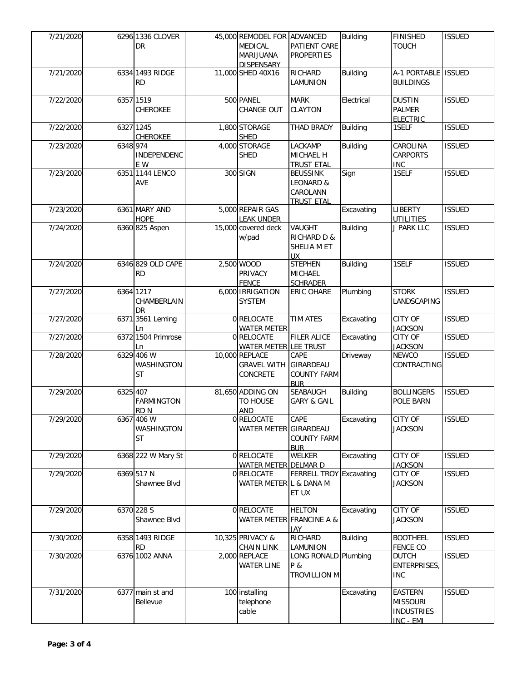| 7/21/2020 |           | 6296 1336 CLOVER<br>DR                | 45,000 REMODEL FOR ADVANCED<br><b>MEDICAL</b><br>MARIJUANA<br><b>DISPENSARY</b> | PATIENT CARE<br><b>PROPERTIES</b>                             | <b>Building</b> | <b>FINISHED</b><br><b>TOUCH</b>                                     | <b>ISSUED</b> |
|-----------|-----------|---------------------------------------|---------------------------------------------------------------------------------|---------------------------------------------------------------|-----------------|---------------------------------------------------------------------|---------------|
| 7/21/2020 |           | 6334 1493 RIDGE<br><b>RD</b>          | 11,000 SHED 40X16                                                               | RICHARD<br>LAMUNION                                           | <b>Building</b> | A-1 PORTABLE ISSUED<br><b>BUILDINGS</b>                             |               |
| 7/22/2020 |           | 6357 1519<br>CHEROKEE                 | 500 PANEL<br>CHANGE OUT                                                         | <b>MARK</b><br><b>CLAYTON</b>                                 | Electrical      | <b>DUSTIN</b><br><b>PALMER</b><br><b>ELECTRIC</b>                   | <b>ISSUED</b> |
| 7/22/2020 | 6327 1245 | CHEROKEE                              | 1,800 STORAGE<br><b>SHED</b>                                                    | THAD BRADY                                                    | Building        | 1SELF                                                               | <b>ISSUED</b> |
| 7/23/2020 | 6348 974  | <b>INDEPENDENC</b><br>E W             | 4,000 STORAGE<br><b>SHED</b>                                                    | LACKAMP<br>MICHAEL H<br><b>TRUST ETAL</b>                     | <b>Building</b> | CAROLINA<br><b>CARPORTS</b><br><b>INC</b>                           | <b>ISSUED</b> |
| 7/23/2020 |           | 6351 1144 LENCO<br>AVE                | 300 SIGN                                                                        | <b>BEUSSINK</b><br>LEONARD &<br>CAROLANN<br><b>TRUST ETAL</b> | Sign            | 1SELF                                                               | <b>ISSUED</b> |
| 7/23/2020 |           | 6361 MARY AND<br><b>HOPE</b>          | 5,000 REPAIR GAS<br><b>LEAK UNDER</b>                                           |                                                               | Excavating      | <b>LIBERTY</b><br><b>UTILITIES</b>                                  | <b>ISSUED</b> |
| 7/24/2020 |           | 6360 825 Aspen                        | 15,000 covered deck<br>w/pad                                                    | VAUGHT<br><b>RICHARD D &amp;</b><br>SHELIA M ET<br>UX.        | <b>Building</b> | J PARK LLC                                                          | <b>ISSUED</b> |
| 7/24/2020 |           | 6346 829 OLD CAPE<br><b>RD</b>        | 2,500 WOOD<br>PRIVACY<br><b>FENCE</b>                                           | <b>STEPHEN</b><br><b>MICHAEL</b><br><b>SCHRADER</b>           | <b>Building</b> | 1SELF                                                               | <b>ISSUED</b> |
| 7/27/2020 |           | 6364 1217<br>CHAMBERLAIN<br><b>DR</b> | 6,000 IRRIGATION<br><b>SYSTEM</b>                                               | ERIC OHARE                                                    | Plumbing        | <b>STORK</b><br>LANDSCAPING                                         | <b>ISSUED</b> |
| 7/27/2020 |           | 6371 3561 Leming<br>Ln                | 0 RELOCATE<br><b>WATER METER</b>                                                | <b>TIM ATES</b>                                               | Excavating      | <b>CITY OF</b><br><b>JACKSON</b>                                    | <b>ISSUED</b> |
| 7/27/2020 |           | 6372 1504 Primrose<br>Ln              | 0 RELOCATE<br><b>WATER METER LEE TRUST</b>                                      | <b>FILER ALICE</b>                                            | Excavating      | CITY OF<br><b>JACKSON</b>                                           | <b>ISSUED</b> |
| 7/28/2020 |           | 6329 406 W<br>WASHINGTON<br><b>ST</b> | 10,000 REPLACE<br><b>GRAVEL WITH</b><br>CONCRETE                                | CAPE<br>GIRARDEAU<br><b>COUNTY FARM</b><br><b>BUR</b>         | Driveway        | <b>NEWCO</b><br>CONTRACTING                                         | <b>ISSUED</b> |
| 7/29/2020 | 6325 407  | <b>FARMINGTON</b><br>RD <sub>N</sub>  | 81,650 ADDING ON<br>TO HOUSE<br><b>AND</b>                                      | SEABAUGH<br><b>GARY &amp; GAIL</b>                            | <b>Building</b> | <b>BOLLINGERS</b><br>POLE BARN                                      | <b>ISSUED</b> |
| 7/29/2020 |           | 6367 406 W<br>WASHINGTON<br><b>ST</b> | 0 RELOCATE<br>WATER METER GIRARDEAU                                             | CAPE<br><b>COUNTY FARM</b><br><b>BUR</b>                      | Excavating      | <b>CITY OF</b><br><b>JACKSON</b>                                    | <b>ISSUED</b> |
| 7/29/2020 |           | 6368 222 W Mary St                    | 0 RELOCATE<br>WATER METER DELMAR D                                              | <b>WELKER</b>                                                 | Excavating      | <b>CITY OF</b><br><b>JACKSON</b>                                    | <b>ISSUED</b> |
| 7/29/2020 |           | 6369 517 N<br>Shawnee Blvd            | 0 RELOCATE<br>WATER METER L & DANA M                                            | FERRELL TROY Excavating<br>ET UX                              |                 | CITY OF<br><b>JACKSON</b>                                           | <b>ISSUED</b> |
| 7/29/2020 |           | 6370 228 S<br>Shawnee Blvd            | 0 RELOCATE                                                                      | <b>HELTON</b><br>WATER METER FRANCINE A &<br><b>JAY</b>       | Excavating      | CITY OF<br><b>JACKSON</b>                                           | <b>ISSUED</b> |
| 7/30/2020 |           | 6358 1493 RIDGE<br><b>RD</b>          | 10,325 PRIVACY &<br><b>CHAIN LINK</b>                                           | <b>RICHARD</b><br>LAMUNION                                    | <b>Building</b> | <b>BOOTHEEL</b><br><b>FENCE CO</b>                                  | <b>ISSUED</b> |
| 7/30/2020 |           | 6376 1002 ANNA                        | 2,000 REPLACE<br><b>WATER LINE</b>                                              | LONG RONALD Plumbing<br>P &<br><b>TROVILLION M</b>            |                 | <b>DUTCH</b><br>ENTERPRISES,<br><b>INC</b>                          | <b>ISSUED</b> |
| 7/31/2020 |           | 6377 main st and<br>Bellevue          | 100 installing<br>telephone<br>cable                                            |                                                               | Excavating      | <b>EASTERN</b><br><b>MISSOURI</b><br><b>INDUSTRIES</b><br>INC - EMI | <b>ISSUED</b> |